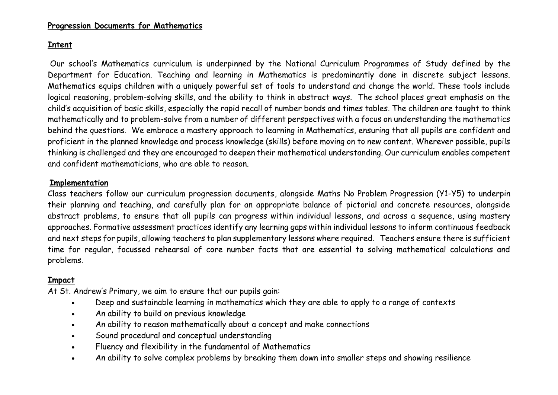## **Progression Documents for Mathematics**

## **Intent**

Our school's Mathematics curriculum is underpinned by the National Curriculum Programmes of Study defined by the Department for Education. Teaching and learning in Mathematics is predominantly done in discrete subject lessons. Mathematics equips children with a uniquely powerful set of tools to understand and change the world. These tools include logical reasoning, problem-solving skills, and the ability to think in abstract ways. The school places great emphasis on the child's acquisition of basic skills, especially the rapid recall of number bonds and times tables. The children are taught to think mathematically and to problem-solve from a number of different perspectives with a focus on understanding the mathematics behind the questions. We embrace a mastery approach to learning in Mathematics, ensuring that all pupils are confident and proficient in the planned knowledge and process knowledge (skills) before moving on to new content. Wherever possible, pupils thinking is challenged and they are encouraged to deepen their mathematical understanding. Our curriculum enables competent and confident mathematicians, who are able to reason.

## **Implementation**

Class teachers follow our curriculum progression documents, alongside Maths No Problem Progression (Y1-Y5) to underpin their planning and teaching, and carefully plan for an appropriate balance of pictorial and concrete resources, alongside abstract problems, to ensure that all pupils can progress within individual lessons, and across a sequence, using mastery approaches. Formative assessment practices identify any learning gaps within individual lessons to inform continuous feedback and next steps for pupils, allowing teachers to plan supplementary lessons where required. Teachers ensure there is sufficient time for regular, focussed rehearsal of core number facts that are essential to solving mathematical calculations and problems.

## **Impact**

At St. Andrew's Primary, we aim to ensure that our pupils gain:

- Deep and sustainable learning in mathematics which they are able to apply to a range of contexts
- An ability to build on previous knowledge
- An ability to reason mathematically about a concept and make connections
- Sound procedural and conceptual understanding
- Fluency and flexibility in the fundamental of Mathematics
- An ability to solve complex problems by breaking them down into smaller steps and showing resilience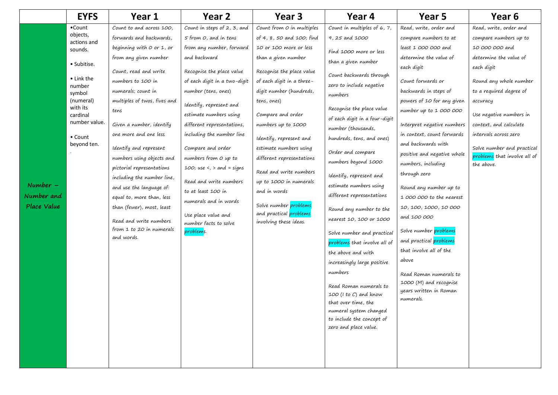|                    | <b>EYFS</b>                                  | Year 1                       | Year 2                                       | Year <sub>3</sub>                                            | Year 4                                                                                                                                        | Year 5                              | Year 6                       |
|--------------------|----------------------------------------------|------------------------------|----------------------------------------------|--------------------------------------------------------------|-----------------------------------------------------------------------------------------------------------------------------------------------|-------------------------------------|------------------------------|
|                    | •Count<br>objects,<br>actions and<br>sounds. | Count to and across 100,     | Count in steps of 2, 3, and                  | Count from O in multiples                                    | Count in multiples of 6, 7,                                                                                                                   | Read, write, order and              | Read, write, order and       |
|                    |                                              | forwards and backwards,      | 5 from O, and in tens                        | of 4, 8, 50 and 100; find                                    | 9, 25 and 1000                                                                                                                                | compare numbers to at               | compare numbers up to        |
|                    |                                              | beginning with $O$ or 1, or  | from any number, forward                     | 10 or 100 more or less                                       | Find 1000 more or less                                                                                                                        | least 1 000 000 and                 | 10 000 000 and               |
|                    | · Subitise.                                  | from any given number        | and backward                                 | than a given number                                          | than a given number                                                                                                                           | determine the value of              | determine the value of       |
|                    |                                              | Count, read and write        | Recognise the place value                    | Recognise the place value                                    |                                                                                                                                               | each digit                          | each digit                   |
|                    | $\bullet$ Link the<br>number<br>symbol       | numbers to 100 in            | of each digit in a two-digit                 | of each digit in a three-                                    | Count backwards through<br>zero to include negative                                                                                           | Count forwards or                   | Round any whole number       |
|                    |                                              | numerals; count in           | number (tens, ones)                          | digit number (hundreds,                                      | numbers                                                                                                                                       | backwards in steps of               | to a required degree of      |
|                    | (numeral)                                    | multiples of twos, fives and | Identify, represent and                      | tens, ones)                                                  |                                                                                                                                               | powers of 10 for any given          | accuracy                     |
|                    | with its<br>cardinal                         | tens                         | estimate numbers using                       | Compare and order                                            | Recognise the place value                                                                                                                     | number up to 1 000 000              | Use negative numbers in      |
|                    | number value.                                | Given a number, identify     | different representations,                   | numbers up to 1000                                           | of each digit in a four-digit<br>number (thousands,                                                                                           | Interpret negative numbers          | context, and calculate       |
|                    | • Count                                      | one more and one less        | including the number line                    | Identify, represent and                                      | hundreds, tens, and ones)                                                                                                                     | in context, count forwards          | intervals across zero        |
|                    | beyond ten.                                  | Identify and represent       | Compare and order                            | estimate numbers using                                       | and backwards with<br>Order and compare<br>positive and negative whole<br>numbers beyond 1000<br>numbers, including<br>Read and write numbers |                                     | Solve number and practical   |
|                    |                                              | numbers using objects and    | numbers from O up to                         | different representations                                    |                                                                                                                                               |                                     | problems that involve all of |
|                    |                                              | pictorial representations    | 100; use $\langle$ , $\rangle$ and = signs   |                                                              |                                                                                                                                               |                                     | the above.                   |
|                    |                                              | including the number line,   | Read and write numbers                       | up to 1000 in numerals                                       | Identify, represent and                                                                                                                       | through zero                        |                              |
| $Number -$         |                                              | and use the language of:     | to at least 100 in                           | and in words                                                 | estimate numbers using                                                                                                                        | Round any number up to              |                              |
| Number and         |                                              | equal to, more than, less    | numerals and in words                        |                                                              | different representations                                                                                                                     | 1 000 000 to the nearest            |                              |
| <b>Place Value</b> |                                              | than (fewer), most, least    |                                              | Solve number problems<br>and practical <mark>problems</mark> | Round any number to the                                                                                                                       | 10, 100, 1000, 10 000               |                              |
|                    |                                              | Read and write numbers       | Use place value and<br>number facts to solve | involving these ideas.                                       | nearest 10, 100 or 1000                                                                                                                       | and 100 000                         |                              |
|                    |                                              | from $1$ to $20$ in numerals | problems.                                    |                                                              | Solve number and practical                                                                                                                    | Solve number problems               |                              |
|                    |                                              | and words.                   |                                              |                                                              | problems that involve all of                                                                                                                  | and practical problems              |                              |
|                    |                                              |                              |                                              |                                                              | the above and with                                                                                                                            | that involve all of the             |                              |
|                    |                                              |                              |                                              |                                                              | increasingly large positive                                                                                                                   | above                               |                              |
|                    |                                              |                              |                                              |                                                              | numbers                                                                                                                                       | Read Roman numerals to              |                              |
|                    |                                              |                              |                                              |                                                              | Read Roman numerals to                                                                                                                        | 1000 (M) and recognise              |                              |
|                    |                                              |                              |                                              |                                                              | $100$ (I to C) and know                                                                                                                       | years written in Roman<br>numerals. |                              |
|                    |                                              |                              |                                              |                                                              | that over time, the                                                                                                                           |                                     |                              |
|                    |                                              |                              |                                              |                                                              | numeral system changed                                                                                                                        |                                     |                              |
|                    |                                              |                              |                                              |                                                              | to include the concept of                                                                                                                     |                                     |                              |
|                    |                                              |                              |                                              |                                                              | zero and place value.                                                                                                                         |                                     |                              |
|                    |                                              |                              |                                              |                                                              |                                                                                                                                               |                                     |                              |
|                    |                                              |                              |                                              |                                                              |                                                                                                                                               |                                     |                              |
|                    |                                              |                              |                                              |                                                              |                                                                                                                                               |                                     |                              |
|                    |                                              |                              |                                              |                                                              |                                                                                                                                               |                                     |                              |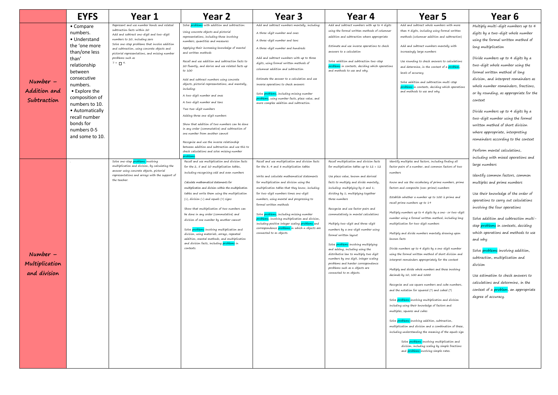|                                              | <b>EYFS</b>                                                                                                                                                                                                                                                                    | Year 1                                                                                                                                                                                                                                                                                                                                                                                                                               | Year <sub>2</sub>                                                                                                                                                                                                                                                                                                                                                                                                                                                                                                                                                                                                                                                                                                                                                                                                                                                                                                                                                                                             | Year 3                                                                                                                                                                                                                                                                                                                                                                                                                                                                                                                                                                                                                                 | Year 4                                                                                                                                                                                                                                                                                                                                                                                                                                                                                                                                                                                                                                       | Year <sub>5</sub>                                                                                                                                                                                                                                                                                                                                                                                                                                                                                                                                                                                                                                                                                                                                                                                                                                                                                                                                                                                                                                                                                                                                                                                                                                                           | Year <sub>6</sub>                                                                                                                                                                                                                                                                                                                                                                                                                                                                                                                                                                                                                                                        |
|----------------------------------------------|--------------------------------------------------------------------------------------------------------------------------------------------------------------------------------------------------------------------------------------------------------------------------------|--------------------------------------------------------------------------------------------------------------------------------------------------------------------------------------------------------------------------------------------------------------------------------------------------------------------------------------------------------------------------------------------------------------------------------------|---------------------------------------------------------------------------------------------------------------------------------------------------------------------------------------------------------------------------------------------------------------------------------------------------------------------------------------------------------------------------------------------------------------------------------------------------------------------------------------------------------------------------------------------------------------------------------------------------------------------------------------------------------------------------------------------------------------------------------------------------------------------------------------------------------------------------------------------------------------------------------------------------------------------------------------------------------------------------------------------------------------|----------------------------------------------------------------------------------------------------------------------------------------------------------------------------------------------------------------------------------------------------------------------------------------------------------------------------------------------------------------------------------------------------------------------------------------------------------------------------------------------------------------------------------------------------------------------------------------------------------------------------------------|----------------------------------------------------------------------------------------------------------------------------------------------------------------------------------------------------------------------------------------------------------------------------------------------------------------------------------------------------------------------------------------------------------------------------------------------------------------------------------------------------------------------------------------------------------------------------------------------------------------------------------------------|-----------------------------------------------------------------------------------------------------------------------------------------------------------------------------------------------------------------------------------------------------------------------------------------------------------------------------------------------------------------------------------------------------------------------------------------------------------------------------------------------------------------------------------------------------------------------------------------------------------------------------------------------------------------------------------------------------------------------------------------------------------------------------------------------------------------------------------------------------------------------------------------------------------------------------------------------------------------------------------------------------------------------------------------------------------------------------------------------------------------------------------------------------------------------------------------------------------------------------------------------------------------------------|--------------------------------------------------------------------------------------------------------------------------------------------------------------------------------------------------------------------------------------------------------------------------------------------------------------------------------------------------------------------------------------------------------------------------------------------------------------------------------------------------------------------------------------------------------------------------------------------------------------------------------------------------------------------------|
| $Number -$<br>Addition and<br>Subtraction    | • Compare<br>numbers.<br>• Understand<br>the 'one more<br>than/one less<br>than'<br>relationship<br>between<br>consecutive<br>numbers.<br>• Explore the<br>composition of<br>numbers to 10.<br>• Automatically<br>recall number<br>bonds for<br>numbers 0-5<br>and some to 10. | Represent and use number bonds and related<br>subtraction facts within 20<br>Add and subtract one-digit and two-digit<br>numbers to 20, including zero<br>Solve one-step problems that involve addition<br>and subtraction, using concrete objects and<br>pictorial representations, and missing number<br>problems such as<br>$7 = \Box$ 9.<br>Solve one-step problems involving<br>multiplication and division, by calculating the | Solve <mark>problems</mark> with addition and subtraction:<br>Using concrete objects and pictorial<br>representations, including those involving<br>numbers, quantities and measures<br>Applying their increasing knowledge of mental<br>and written methods<br>Recall and use addition and subtraction facts to<br>20 fluently, and derive and use related facts up<br>to 1.00<br>Add and subtract numbers using concrete<br>objects, pictorial representations, and mentally,<br>including:<br>A two-digit number and ones<br>A two-digit number and tens<br>Two two-digit numbers<br>Adding three one-digit numbers<br>Show that addition of two numbers can be done<br>in any order (commutative) and subtraction of<br>one number from another cannot<br>Recognise and use the inverse relationship<br>between addition and subtraction and use this to<br>check calculations and solve missing number<br>Recall and use multiplication and division facts<br>for the 2, 5 and 10 multiplication tables, | Add and subtract numbers mentally, including:<br>A three-digit number and ones<br>A three-digit number and tens<br>A three-digit number and hundreds<br>Add and subtract numbers with up to three<br>digits, using formal written methods of<br>columnar addition and subtraction<br>Estimate the answer to a calculation and use<br>inverse operations to check answers<br>Solve <i>problems</i> , including missing number<br><mark>oroblems</mark> , using number facts, place value, and<br>more complex addition and subtraction.<br>Recall and use multiplication and division facts<br>for the 3, 4 and 8 multiplication tables | Add and subtract numbers with up to 4 digits<br>using the formal written methods of columnar<br>addition and subtraction where appropriate<br>Estimate and use inverse operations to check<br>answers to a calculation<br>Solve addition and subtraction two-step<br><mark>problems</mark> in contexts, deciding which operations<br>and methods to use and why.<br>Recall multiplication and division facts<br>for multiplication tables up to $12 \times 12$                                                                                                                                                                               | Add and subtract whole numbers with more<br>than 4 digits, including using formal written<br>methods (columnar addition and subtraction)<br>Add and subtract numbers mentally with<br>increasingly large numbers<br>Use rounding to check answers to calculations<br>and determine, in the context of a problem<br>levels of accuracy<br>Solve addition and subtraction multi-step<br><mark>problems i</mark> n contexts, deciding which operations<br>and methods to use and why.<br>Identify multiples and factors, including finding all<br>factor pairs of a number, and common factors of two                                                                                                                                                                                                                                                                                                                                                                                                                                                                                                                                                                                                                                                                          | Multiply multi-digit numbers up to 4<br>digits by a two-digit whole number<br>using the formal written method of<br>long multiplication<br>Divide numbers up to 4 digits by a<br>two-digit whole number using the<br>formal written method of long<br>division, and interpret remainders as<br>whole number remainders, fractions,<br>or by rounding, as appropriate for the<br>context<br>Divide numbers up to 4 digits by a<br>two-digit number using the formal<br>written method of short division<br>where appropriate, interpreting<br>remainders according to the context<br>Perform mental calculations,<br>including with mixed operations and<br>large numbers |
| $Number -$<br>Multiplication<br>and division |                                                                                                                                                                                                                                                                                | answer using concrete objects, pictorial<br>representations and arrays with the support of<br>the teacher.                                                                                                                                                                                                                                                                                                                           | including recognising odd and even numbers<br>Calculate mathematical statements for<br>multiplication and division within the multiplication<br>tables and write them using the multiplication<br>(x), division (+) and equals (=) signs<br>Show that multiplication of two numbers can<br>be done in any order (commutative) and<br>division of one number by another cannot<br>Solve <mark>problems</mark> involving multiplication and<br>division, using materials, arrays, repeated<br>addition, mental methods, and multiplication<br>and division facts, including problems in<br>contexts.                                                                                                                                                                                                                                                                                                                                                                                                            | Write and calculate mathematical statements<br>for multiplication and division using the<br>multiplication tables that they know, including<br>for two-digit numbers times one-digit<br>numbers, using mental and progressing to<br>formal written methods<br>Solve problems, including missing number<br><mark>roblems</mark> , involving multiplication and division,<br>including positive integer scaling problems and<br>correspondence problems in which n objects are<br>connected to m objects.                                                                                                                                | Use place value, known and derived<br>facts to multiply and divide mentally,<br>including: multiplying by 0 and 1;<br>dividing by 1; multiplying together<br>three numbers<br>Recognise and use factor pairs and<br>commutatively in mental calculations<br>Multiply two-digit and three-digit<br>numbers by a one-digit number using<br>formal written layout<br>Solve <mark>problems</mark> involving multiplying<br>and adding, including using the<br>distributive law to multiply two digit<br>numbers by one digit, integer scaling<br>problems and harder correspondence<br>problems such as n objects are<br>connected to m objects. | numbers<br>Know and use the vocabulary of prime numbers, prime<br>factors and composite (non-prime) numbers<br>Establish whether a number up to 100 is prime and<br>recall prime numbers up to 19<br>Multiply numbers up to 4 digits by a one- or two-digit<br>number using a formal written method, including long<br>multiplication for two-digit numbers<br>Multiply and divide numbers mentally drawing upon<br>known facts<br>Divide numbers up to 4 digits by a one-digit number<br>using the formal written method of short division and<br>interpret remainders appropriately for the context<br>Multiply and divide whole numbers and those involving<br>decimals by 10, 100 and 1000<br>Recognise and use square numbers and cube numbers,<br>and the notation for squared $(2)$ and cubed $(3)$<br>Solve problems involving multiplication and division<br>cluding using their knowledge of factors and<br>multiples, squares and cubes<br>Solve problems involving addition, subtraction,<br>multiplication and division and a combination of these,<br>including understanding the meaning of the equals sign<br>Solve problems involving multiplication and<br>division, including scaling by simple fractions<br>and <b>problems</b> involving simple rates. | Identify common factors, common<br>multiples and prime numbers<br>Use their knowledge of the order of<br>operations to carry out calculations<br>involving the four operations<br>Solve addition and subtraction multi-<br>step <b>problems</b> in contexts, deciding<br>which operations and methods to use<br>and why<br>Solve <i>problems</i> involving addition,<br>subtraction, multiplication and<br>division<br>Use estimation to check answers to<br>calculations and determine, in the<br>context of a <b>problem</b> , an appropriate<br>degree of accuracy.                                                                                                   |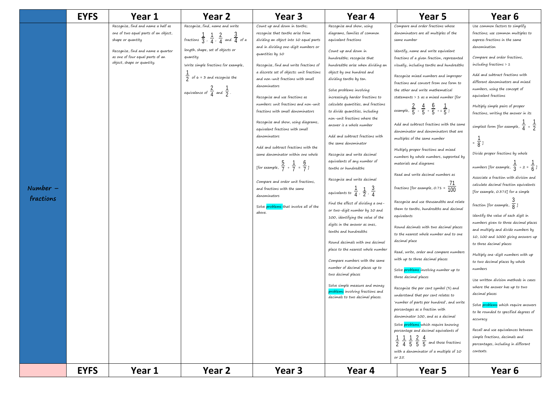|                         | <b>EYFS</b> | Year 1                                                                                                                                                                                                  | Year 2                                                                                                                                                                                                                                                                                                   | Year <sub>3</sub>                                                                                                                                                                                                                                                                                                                                                                                                                                                                                                                                                                                                                                                                                                                                                                                                       | Year 4                                                                                                                                                                                                                                                                                                                                                                                                                                                                                                                                                                                                                                                                                                                                                                                                                                                                                                                                                                                                                                                                                                                                      | Year 5                                                                                                                                                                                                                                                                                                                                                                                                                                                                                                                                                                                                                                                                                                                                                                                                                                                                                                                                                                                                                                                                                                                                                                                                                                                                                                                                                                                                                                                                                                                                                                                        | Year 6                                                                                                                                                                                                                                                                                                                                                                                                                                                                                                                                                                                                                                                                                                                                                                                                                                                                                                                                                                                                                                                                                                                                                                                                                                                                                                                                                 |
|-------------------------|-------------|---------------------------------------------------------------------------------------------------------------------------------------------------------------------------------------------------------|----------------------------------------------------------------------------------------------------------------------------------------------------------------------------------------------------------------------------------------------------------------------------------------------------------|-------------------------------------------------------------------------------------------------------------------------------------------------------------------------------------------------------------------------------------------------------------------------------------------------------------------------------------------------------------------------------------------------------------------------------------------------------------------------------------------------------------------------------------------------------------------------------------------------------------------------------------------------------------------------------------------------------------------------------------------------------------------------------------------------------------------------|---------------------------------------------------------------------------------------------------------------------------------------------------------------------------------------------------------------------------------------------------------------------------------------------------------------------------------------------------------------------------------------------------------------------------------------------------------------------------------------------------------------------------------------------------------------------------------------------------------------------------------------------------------------------------------------------------------------------------------------------------------------------------------------------------------------------------------------------------------------------------------------------------------------------------------------------------------------------------------------------------------------------------------------------------------------------------------------------------------------------------------------------|-----------------------------------------------------------------------------------------------------------------------------------------------------------------------------------------------------------------------------------------------------------------------------------------------------------------------------------------------------------------------------------------------------------------------------------------------------------------------------------------------------------------------------------------------------------------------------------------------------------------------------------------------------------------------------------------------------------------------------------------------------------------------------------------------------------------------------------------------------------------------------------------------------------------------------------------------------------------------------------------------------------------------------------------------------------------------------------------------------------------------------------------------------------------------------------------------------------------------------------------------------------------------------------------------------------------------------------------------------------------------------------------------------------------------------------------------------------------------------------------------------------------------------------------------------------------------------------------------|--------------------------------------------------------------------------------------------------------------------------------------------------------------------------------------------------------------------------------------------------------------------------------------------------------------------------------------------------------------------------------------------------------------------------------------------------------------------------------------------------------------------------------------------------------------------------------------------------------------------------------------------------------------------------------------------------------------------------------------------------------------------------------------------------------------------------------------------------------------------------------------------------------------------------------------------------------------------------------------------------------------------------------------------------------------------------------------------------------------------------------------------------------------------------------------------------------------------------------------------------------------------------------------------------------------------------------------------------------|
| $Number -$<br>fractions |             | Recognise, find and name a half as<br>one of two equal parts of an object,<br>shape or quantity<br>Recognise, find and name a quarter<br>as one of four equal parts of an<br>object, shape or quantity. | Recognise, find, name and write<br>fractions $\frac{1}{3}$ , $\frac{1}{4}$ , $\frac{2}{4}$ and $\frac{3}{4}$ of a<br>length, shape, set of objects or<br>quantity<br>Write simple fractions for example,<br>$\frac{1}{2}$ of 6 = 3 and recognise the<br>equivalence of $\frac{2}{4}$ and $\frac{1}{2}$ . | Count up and down in tenths;<br>recognise that tenths arise from<br>dividing an object into 10 equal parts<br>and in dividing one-digit numbers or<br>quantities by 10<br>Recognise, find and write fractions of<br>a discrete set of objects: unit fractions<br>and non-unit fractions with small<br>denominators<br>Recognise and use fractions as<br>numbers: unit fractions and non-unit<br>fractions with small denominators<br>Recognise and show, using diagrams,<br>equivalent fractions with small<br>denominators<br>Add and subtract fractions with the<br>same denominator within one whole<br>[for example, $\frac{5}{7}$ + $\frac{1}{7}$ = $\frac{6}{7}$ ]<br>Compare and order unit fractions,<br>and fractions with the same<br>denominators<br>Solve <i>problems</i> that involve all of the<br>above. | Recognise and show, using<br>diagrams, families of common<br>equivalent fractions<br>Count up and down in<br>hundredths; recognise that<br>hundredths arise when dividing an<br>object by one hundred and<br>dividing tenths by ten.<br>Solve problems involving<br>increasingly harder fractions to<br>calculate quantities, and fractions<br>to divide quantities, including<br>non-unit fractions where the<br>answer is a whole number<br>Add and subtract fractions with<br>the same denominator<br>Recognise and write decimal<br>equivalents of any number of<br>tenths or hundredths<br>Recognise and write decimal<br>equivalents to $\frac{1}{4}$ , $\frac{1}{2}$ , $\frac{3}{4}$<br>Find the effect of dividing a one-<br>or two-digit number by 10 and<br>100, identifying the value of the<br>digits in the answer as ones,<br>tenths and hundredths<br>Round decimals with one decimal<br>place to the nearest whole number<br>Compare numbers with the same<br>number of decimal places up to<br>two decimal places<br>Solve simple measure and money<br>problems involving fractions and<br>decimals to two decimal places. | Compare and order fractions whose<br>denominators are all multiples of the<br>same number<br>Identify, name and write equivalent<br>fractions of a given fraction, represented<br>visually, including tenths and hundredths<br>Recognise mixed numbers and improper<br>fractions and convert from one form to<br>the other and write mathematical<br>statements > 1 as a mixed number [for<br>example, $\frac{2}{5}$ + $\frac{4}{5}$ = $\frac{6}{5}$ = 1 $\frac{1}{5}$ ]<br>Add and subtract fractions with the same<br>denominator and denominators that are<br>multiples of the same number<br>Multiply proper fractions and mixed<br>numbers by whole numbers, supported by<br>materials and diagrams<br>Read and write decimal numbers as<br>fractions [for example, 0.71 = $\frac{11}{100}$<br>Recognise and use thousandths and relate<br>them to tenths, hundredths and decimal<br>equivalents<br>Round decimals with two decimal places<br>to the nearest whole number and to one<br>decimal place<br>Read, write, order and compare numbers<br>with up to three decimal places<br>Solve problems involving number up to<br>three decimal places<br>Recognise the per cent symbol (%) and<br>understand that per cent relates to<br>'number of parts per hundred', and write<br>percentages as a fraction with<br>denominator 100, and as a decimal<br>Solve problems which require knowing<br>percentage and decimal equivalents of<br>$\frac{1}{2}$ $\frac{1}{4}$ $\frac{1}{5}$ $\frac{2}{5}$ $\frac{4}{5}$ and those fractions<br>with a denominator of a multiple of 10<br>or 25. | Use common factors to simplify<br>fractions; use common multiples to<br>express fractions in the same<br>denomination<br>Compare and order fractions,<br>including fractions $> 1$<br>Add and subtract fractions with<br>different denominators and mixed<br>numbers, using the concept of<br>equivalent fractions<br>Multiply simple pairs of proper<br>fractions, writing the answer in its<br>simplest form [for example, $\frac{1}{4} \times \frac{1}{2}$<br>$=\frac{1}{8}$ ]<br>Divide proper fractions by whole<br>numbers [for example, $\frac{1}{3}$ ÷ 2 = $\frac{1}{6}$ ]<br>Associate a fraction with division and<br>calculate decimal fraction equivalents<br>[for example, 0.375] for a simple<br>fraction [for example, $\frac{3}{8}$ ]<br>Identify the value of each digit in<br>numbers given to three decimal places<br>and multiply and divide numbers by<br>10, 100 and 1000 giving answers up<br>to three decimal places<br>Multiply one-digit numbers with up<br>to two decimal places by whole<br>numbers<br>Use written division methods in cases<br>where the answer has up to two<br>decimal places<br>Solve problems which require answers<br>to be rounded to specified degrees of<br>accuracy<br>Recall and use equivalences between<br>simple fractions, decimals and<br>percentages, including in different<br>contexts. |
|                         | <b>EYFS</b> | Year 1                                                                                                                                                                                                  | Year 2                                                                                                                                                                                                                                                                                                   | Year 3                                                                                                                                                                                                                                                                                                                                                                                                                                                                                                                                                                                                                                                                                                                                                                                                                  | Year 4                                                                                                                                                                                                                                                                                                                                                                                                                                                                                                                                                                                                                                                                                                                                                                                                                                                                                                                                                                                                                                                                                                                                      | Year 5                                                                                                                                                                                                                                                                                                                                                                                                                                                                                                                                                                                                                                                                                                                                                                                                                                                                                                                                                                                                                                                                                                                                                                                                                                                                                                                                                                                                                                                                                                                                                                                        | Year 6                                                                                                                                                                                                                                                                                                                                                                                                                                                                                                                                                                                                                                                                                                                                                                                                                                                                                                                                                                                                                                                                                                                                                                                                                                                                                                                                                 |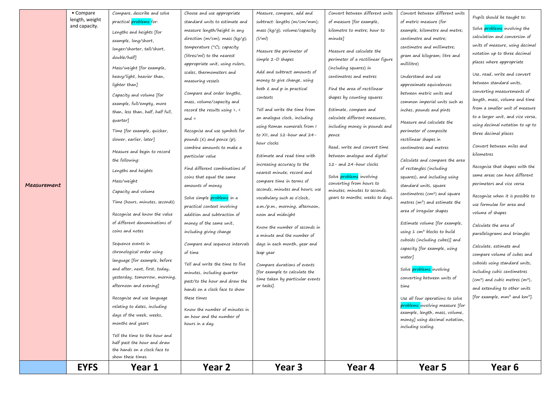|             | <b>EYFS</b>                 | Year 1                                                                                                                                                                                                                                                                                                                                                                                                                                                                                                                                                                                                                                                                                                                                                                                                                         | Year 2                                                                                                                                                                                                                                                                                                                                                                                                                                                                                                                                                                                                                                                                                                                                                                                                                                                                                                    | Year 3                                                                                                                                                                                                                                                                                                                                                                                                                                                                                                                                                                                                                                                                                                                                                                                   | Year 4                                                                                                                                                                                                                                                                                                                                                                                                                                                                                                            | Year 5                                                                                                                                                                                                                                                                                                                                                                                                                                                                                                                                                                                                                                                                                                                                                                                                                                                                                                                                                         | Year 6                                                                                                                                                                                                                                                                                                                                                                                                                                                                                                                                                                                                                                                                                                                                                                                                                                                     |
|-------------|-----------------------------|--------------------------------------------------------------------------------------------------------------------------------------------------------------------------------------------------------------------------------------------------------------------------------------------------------------------------------------------------------------------------------------------------------------------------------------------------------------------------------------------------------------------------------------------------------------------------------------------------------------------------------------------------------------------------------------------------------------------------------------------------------------------------------------------------------------------------------|-----------------------------------------------------------------------------------------------------------------------------------------------------------------------------------------------------------------------------------------------------------------------------------------------------------------------------------------------------------------------------------------------------------------------------------------------------------------------------------------------------------------------------------------------------------------------------------------------------------------------------------------------------------------------------------------------------------------------------------------------------------------------------------------------------------------------------------------------------------------------------------------------------------|------------------------------------------------------------------------------------------------------------------------------------------------------------------------------------------------------------------------------------------------------------------------------------------------------------------------------------------------------------------------------------------------------------------------------------------------------------------------------------------------------------------------------------------------------------------------------------------------------------------------------------------------------------------------------------------------------------------------------------------------------------------------------------------|-------------------------------------------------------------------------------------------------------------------------------------------------------------------------------------------------------------------------------------------------------------------------------------------------------------------------------------------------------------------------------------------------------------------------------------------------------------------------------------------------------------------|----------------------------------------------------------------------------------------------------------------------------------------------------------------------------------------------------------------------------------------------------------------------------------------------------------------------------------------------------------------------------------------------------------------------------------------------------------------------------------------------------------------------------------------------------------------------------------------------------------------------------------------------------------------------------------------------------------------------------------------------------------------------------------------------------------------------------------------------------------------------------------------------------------------------------------------------------------------|------------------------------------------------------------------------------------------------------------------------------------------------------------------------------------------------------------------------------------------------------------------------------------------------------------------------------------------------------------------------------------------------------------------------------------------------------------------------------------------------------------------------------------------------------------------------------------------------------------------------------------------------------------------------------------------------------------------------------------------------------------------------------------------------------------------------------------------------------------|
|             |                             | Tell the time to the hour and<br>half past the hour and draw<br>the hands on a clock face to<br>show these times.                                                                                                                                                                                                                                                                                                                                                                                                                                                                                                                                                                                                                                                                                                              |                                                                                                                                                                                                                                                                                                                                                                                                                                                                                                                                                                                                                                                                                                                                                                                                                                                                                                           |                                                                                                                                                                                                                                                                                                                                                                                                                                                                                                                                                                                                                                                                                                                                                                                          |                                                                                                                                                                                                                                                                                                                                                                                                                                                                                                                   |                                                                                                                                                                                                                                                                                                                                                                                                                                                                                                                                                                                                                                                                                                                                                                                                                                                                                                                                                                |                                                                                                                                                                                                                                                                                                                                                                                                                                                                                                                                                                                                                                                                                                                                                                                                                                                            |
| Measurement |                             | longer/shorter, tall/short,<br>double/half]<br>Mass/weight [for example,<br>heavy/light, heavier than,<br>lighter than]<br>Capacity and volume [for<br>example, full/empty, more<br>than, less than, half, half full,<br>quarter]<br>Time [for example, quicker,<br>slower, earlier, later]<br>Measure and begin to record<br>the following:<br>Lengths and heights<br>Mass/weight<br>Capacity and volume<br>Time (hours, minutes, seconds)<br>Recognise and know the value<br>of different denominations of<br>coins and notes<br>Sequence events in<br>chronological order using<br>language [for example, before<br>and after, next, first, today,<br>yesterday, tomorrow, morning,<br>afternoon and evening?<br>Recognise and use language<br>relating to dates, including<br>days of the week, weeks,<br>months and years | temperature $(^{\circ}C)$ ; capacity<br>(litres/ml) to the nearest<br>appropriate unit, using rulers,<br>scales, thermometers and<br>measuring vessels<br>Compare and order lengths,<br>mass, volume/capacity and<br>record the results using $>$ , <<br>and $=$<br>Recognise and use symbols for<br>pounds $(E)$ and pence $(p)$ ;<br>combine amounts to make a<br>particular value<br>Find different combinations of<br>coins that equal the same<br>amounts of money<br>Solve simple problems in a<br>practical context involving<br>addition and subtraction of<br>money of the same unit,<br>including giving change<br>Compare and sequence intervals<br>of time<br>Tell and write the time to five<br>minutes, including quarter<br>past/to the hour and draw the<br>hands on a clock face to show<br>these times<br>Know the number of minutes in<br>an hour and the number of<br>hours in a day. | Measure the perimeter of<br>simple 2-D shapes<br>Add and subtract amounts of<br>money to give change, using<br>both $\pounds$ and $p$ in practical<br>contexts<br>Tell and write the time from<br>an analogue clock, including<br>using Roman numerals from I<br>to XII, and 12-hour and 24-<br>hour clocks<br>Estimate and read time with<br>increasing accuracy to the<br>nearest minute; record and<br>compare time in terms of<br>seconds, minutes and hours; use<br>vocabulary such as o'clock,<br>a.m./p.m., morning, afternoon,<br>noon and midnight<br>Know the number of seconds in<br>a minute and the number of<br>days in each month, year and<br>leap year<br>Compare durations of events<br>[for example to calculate the<br>time taken by particular events<br>or tasks]. | Measure and calculate the<br>perimeter of a rectilinear figure<br>(including squares) in<br>centimetres and metres<br>Find the area of rectilinear<br>shapes by counting squares<br>Estimate, compare and<br>calculate different measures,<br>including money in pounds and<br>pence<br>Read, write and convert time<br>between analogue and digital<br>12 - and 24-hour clocks<br>Solve <i>problems</i> involving<br>converting from hours to<br>minutes; minutes to seconds;<br>years to months; weeks to days. | centimetre and millimetre;<br>gram and kilogram; litre and<br>millilitre)<br>Understand and use<br>approximate equivalences<br>between metric units and<br>common imperial units such as<br>inches, pounds and pints<br>Measure and calculate the<br>perimeter of composite<br>rectilinear shapes in<br>centimetres and metres<br>Calculate and compare the area<br>of rectangles (including<br>squares), and including using<br>standard units, square<br>centimetres (cm <sup>2</sup> ) and square<br>metres $(m^2)$ and estimate the<br>area of irregular shapes<br>Estimate volume [for example,<br>using $1 \text{ cm}^3$ blocks to build<br>cuboids (including cubes)] and<br>capacity [for example, using<br>water]<br>Solve problems involving<br>converting between units of<br>time<br>Use all four operations to solve<br>problems involving measure [for<br>example, length, mass, volume,<br>money] using decimal notation,<br>including scaling. | notation up to three decimal<br>places where appropriate<br>Use, read, write and convert<br>between standard units,<br>converting measurements of<br>length, mass, volume and time<br>from a smaller unit of measure<br>to a larger unit, and vice versa,<br>using decimal notation to up to<br>three decimal places<br>Convert between miles and<br>kilometres<br>Recognise that shapes with the<br>same areas can have different<br>perimeters and vice versa<br>Recognise when it is possible to<br>use formulae for area and<br>volume of shapes<br>Calculate the area of<br>parallelograms and triangles<br>Calculate, estimate and<br>compare volume of cubes and<br>cuboids using standard units,<br>including cubic centimetres<br>$(cm3)$ and cubic metres $(m3)$ ,<br>and extending to other units<br>[for example, mm <sup>3</sup> and $km3$ ]. |
|             | and capacity.               | Lengths and heights [for<br>example, long/short,                                                                                                                                                                                                                                                                                                                                                                                                                                                                                                                                                                                                                                                                                                                                                                               | measure length/height in any<br>direction (m/cm); mass $(kg/g)$ ;                                                                                                                                                                                                                                                                                                                                                                                                                                                                                                                                                                                                                                                                                                                                                                                                                                         | mass (kg/g); volume/capacity<br>(1/m)                                                                                                                                                                                                                                                                                                                                                                                                                                                                                                                                                                                                                                                                                                                                                    | kilometre to metre; hour to<br>minute]                                                                                                                                                                                                                                                                                                                                                                                                                                                                            | example, kilometre and metre;<br>centimetre and metre;                                                                                                                                                                                                                                                                                                                                                                                                                                                                                                                                                                                                                                                                                                                                                                                                                                                                                                         | Solve <i>problems</i> involving the<br>calculation and conversion of<br>units of measure, using decimal                                                                                                                                                                                                                                                                                                                                                                                                                                                                                                                                                                                                                                                                                                                                                    |
|             | • Compare<br>length, weight | Compare, describe and solve<br>practical <i>problems</i> for:                                                                                                                                                                                                                                                                                                                                                                                                                                                                                                                                                                                                                                                                                                                                                                  | Choose and use appropriate<br>standard units to estimate and                                                                                                                                                                                                                                                                                                                                                                                                                                                                                                                                                                                                                                                                                                                                                                                                                                              | Measure, compare, add and<br>subtract: lengths (m/cm/mm);                                                                                                                                                                                                                                                                                                                                                                                                                                                                                                                                                                                                                                                                                                                                | Convert between different units<br>of measure [for example,                                                                                                                                                                                                                                                                                                                                                                                                                                                       | Convert between different units<br>of metric measure (for                                                                                                                                                                                                                                                                                                                                                                                                                                                                                                                                                                                                                                                                                                                                                                                                                                                                                                      | Pupils should be taught to:                                                                                                                                                                                                                                                                                                                                                                                                                                                                                                                                                                                                                                                                                                                                                                                                                                |
|             |                             |                                                                                                                                                                                                                                                                                                                                                                                                                                                                                                                                                                                                                                                                                                                                                                                                                                |                                                                                                                                                                                                                                                                                                                                                                                                                                                                                                                                                                                                                                                                                                                                                                                                                                                                                                           |                                                                                                                                                                                                                                                                                                                                                                                                                                                                                                                                                                                                                                                                                                                                                                                          |                                                                                                                                                                                                                                                                                                                                                                                                                                                                                                                   |                                                                                                                                                                                                                                                                                                                                                                                                                                                                                                                                                                                                                                                                                                                                                                                                                                                                                                                                                                |                                                                                                                                                                                                                                                                                                                                                                                                                                                                                                                                                                                                                                                                                                                                                                                                                                                            |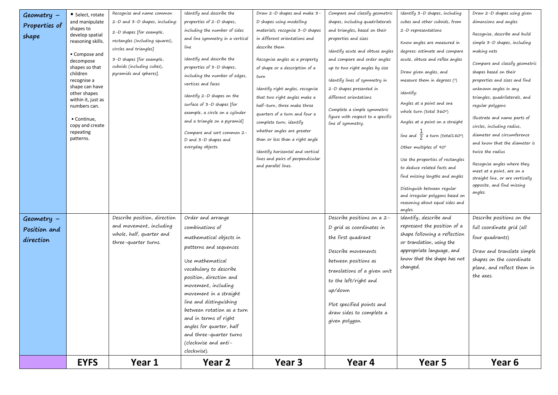| Geometry -    | • Select, rotate                     | Recognise and name common       | Identify and describe the                      | Draw 2-D shapes and make 3-      | Compare and classify geometric    | Identify 3-D shapes, including                         | Draw 2-D shapes using given                              |
|---------------|--------------------------------------|---------------------------------|------------------------------------------------|----------------------------------|-----------------------------------|--------------------------------------------------------|----------------------------------------------------------|
| Properties of | and manipulate                       | 2-D and 3-D shapes, including:  | properties of 2-D shapes,                      | D shapes using modelling         | shapes, including quadrilaterals  | cubes and other cuboids, from                          | dimensions and angles                                    |
|               | shapes to                            | 2-D shapes [for example,        | including the number of sides                  | materials; recognise 3-D shapes  | and triangles, based on their     | 2-D representations                                    | Recognise, describe and build                            |
| shape         | develop spatial<br>reasoning skills. | rectangles (including squares), | and line symmetry in a vertical                | in different orientations and    | properties and sizes              | Know angles are measured in                            | simple 3-D shapes, including                             |
|               |                                      | circles and triangles]          | line                                           | describe them                    | Identify acute and obtuse angles  | degrees: estimate and compare                          | making nets                                              |
|               | • Compose and                        | 3-D shapes [for example,        | Identify and describe the                      | Recognise angles as a property   | and compare and order angles      | acute, obtuse and reflex angles                        |                                                          |
|               | decompose<br>shapes so that          | cuboids (including cubes),      | properties of 3-D shapes,                      | of shape or a description of a   | up to two right angles by size    |                                                        | Compare and classify geometric                           |
|               | children                             | pyramids and spheres].          | including the number of edges,                 | turn                             |                                   | Draw given angles, and                                 | shapes based on their                                    |
|               | recognise a                          |                                 | vertices and faces                             |                                  | Identify lines of symmetry in     | measure them in degrees (°)                            | properties and sizes and find                            |
|               | shape can have<br>other shapes       |                                 |                                                | Identify right angles, recognise | 2-D shapes presented in           | Identify:                                              | unknown angles in any                                    |
|               | within it, just as                   |                                 | Identify 2-D shapes on the                     | that two right angles make a     | different orientations            | Angles at a point and one                              | triangles, quadrilaterals, and                           |
|               | numbers can.                         |                                 | surface of $3-D$ shapes [for                   | half-turn, three make three      | Complete a simple symmetric       | whole turn (total $360^\circ$ )                        | regular polygons                                         |
|               | • Continue,                          |                                 | example, a circle on a cylinder                | quarters of a turn and four a    | figure with respect to a specific |                                                        | Illustrate and name parts of                             |
|               | copy and create                      |                                 | and a triangle on a pyramid]                   | complete turn; identify          | line of symmetry.                 | Angles at a point on a straight                        | circles, including radius,                               |
|               | repeating                            |                                 | Compare and sort common 2-                     | whether angles are greater       |                                   | line and $\frac{1}{2}$ a turn (total180°)              | diameter and circumference                               |
|               | patterns.                            |                                 | D and 3-D shapes and                           | than or less than a right angle  |                                   |                                                        | and know that the diameter is                            |
|               |                                      |                                 | everyday objects.                              | Identify horizontal and vertical |                                   | Other multiples of 90°                                 | twice the radius                                         |
|               |                                      |                                 |                                                | lines and pairs of perpendicular |                                   | Use the properties of rectangles                       |                                                          |
|               |                                      |                                 |                                                | and parallel lines.              |                                   | to deduce related facts and                            | Recognise angles where they<br>meet at a point, are on a |
|               |                                      |                                 |                                                |                                  |                                   | find missing lengths and angles                        | straight line, or are vertically                         |
|               |                                      |                                 |                                                |                                  |                                   | Distinguish between regular                            | opposite, and find missing                               |
|               |                                      |                                 |                                                |                                  |                                   | and irregular polygons based on                        | angles.                                                  |
|               |                                      |                                 |                                                |                                  |                                   | reasoning about equal sides and                        |                                                          |
|               |                                      |                                 |                                                |                                  |                                   | angles.                                                |                                                          |
| $Geometry -$  |                                      | Describe position, direction    | Order and arrange                              |                                  | Describe positions on a 2-        | Identify, describe and                                 | Describe positions on the                                |
| Position and  |                                      | and movement, including         | combinations of                                |                                  | D grid as coordinates in          | represent the position of a                            | full coordinate grid (all                                |
| direction     |                                      | whole, half, quarter and        | mathematical objects in                        |                                  | the first quadrant                | shape following a reflection                           | four quadrants)                                          |
|               |                                      | three-quarter turns.            | patterns and sequences                         |                                  | Describe movements                | or translation, using the<br>appropriate language, and |                                                          |
|               |                                      |                                 |                                                |                                  |                                   | know that the shape has not                            | Draw and translate simple<br>shapes on the coordinate    |
|               |                                      |                                 | Use mathematical                               |                                  | between positions as              | changed.                                               | plane, and reflect them in                               |
|               |                                      |                                 | vocabulary to describe                         |                                  | translations of a given unit      |                                                        | the axes.                                                |
|               |                                      |                                 | position, direction and<br>movement, including |                                  | to the left/right and             |                                                        |                                                          |
|               |                                      |                                 | movement in a straight                         |                                  | up/down                           |                                                        |                                                          |
|               |                                      |                                 | line and distinguishing                        |                                  |                                   |                                                        |                                                          |
|               |                                      |                                 | between rotation as a turn                     |                                  | Plot specified points and         |                                                        |                                                          |
|               |                                      |                                 | and in terms of right                          |                                  | draw sides to complete a          |                                                        |                                                          |
|               |                                      |                                 | angles for quarter, half                       |                                  | given polygon.                    |                                                        |                                                          |
|               |                                      |                                 | and three-quarter turns                        |                                  |                                   |                                                        |                                                          |
|               |                                      |                                 | (clockwise and anti-                           |                                  |                                   |                                                        |                                                          |
|               |                                      |                                 | clockwise).                                    |                                  |                                   |                                                        |                                                          |
|               | <b>EYFS</b>                          | Year 1                          | Year 2                                         | Year 3                           | Year 4                            | Year 5                                                 | Year 6                                                   |